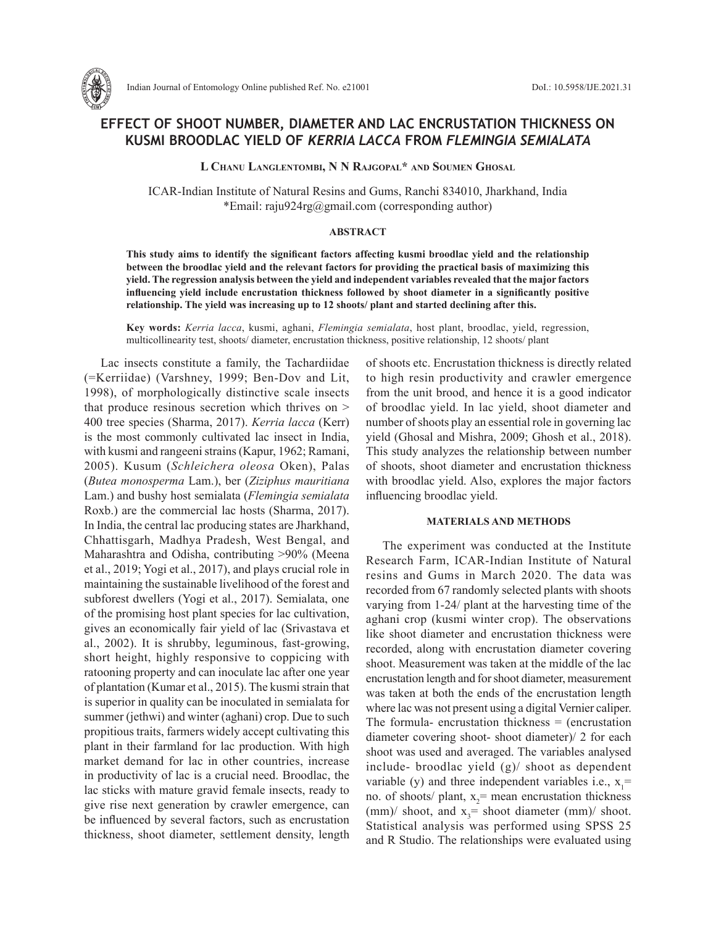

# **EFFECT OF SHOOT NUMBER, DIAMETER AND LAC ENCRUSTATION THICKNESS ON KUSMI BROODLAC YIELD OF** *KERRIA LACCA* **FROM** *FLEMINGIA SEMIALATA*

**L Chanu Langlentombi, N N Rajgopal\* and Soumen Ghosal**

ICAR-Indian Institute of Natural Resins and Gums, Ranchi 834010, Jharkhand, India \*Email: raju924rg@gmail.com (corresponding author)

### **ABSTRACT**

**This study aims to identify the significant factors affecting kusmi broodlac yield and the relationship between the broodlac yield and the relevant factors for providing the practical basis of maximizing this yield. The regression analysis between the yield and independent variables revealed that the major factors influencing yield include encrustation thickness followed by shoot diameter in a significantly positive relationship. The yield was increasing up to 12 shoots/ plant and started declining after this.** 

**Key words:** *Kerria lacca*, kusmi, aghani, *Flemingia semialata*, host plant, broodlac, yield, regression, multicollinearity test, shoots/ diameter, encrustation thickness, positive relationship, 12 shoots/ plant

Lac insects constitute a family, the Tachardiidae (=Kerriidae) (Varshney, 1999; Ben-Dov and Lit, 1998), of morphologically distinctive scale insects that produce resinous secretion which thrives on > 400 tree species (Sharma, 2017). *Kerria lacca* (Kerr) is the most commonly cultivated lac insect in India, with kusmi and rangeeni strains (Kapur, 1962; Ramani, 2005). Kusum (*Schleichera oleosa* Oken), Palas (*Butea monosperma* Lam.), ber (*Ziziphus mauritiana* Lam.) and bushy host semialata (*Flemingia semialata* Roxb.) are the commercial lac hosts (Sharma, 2017). In India, the central lac producing states are Jharkhand, Chhattisgarh, Madhya Pradesh, West Bengal, and Maharashtra and Odisha, contributing >90% (Meena et al., 2019; Yogi et al., 2017), and plays crucial role in maintaining the sustainable livelihood of the forest and subforest dwellers (Yogi et al., 2017). Semialata, one of the promising host plant species for lac cultivation, gives an economically fair yield of lac (Srivastava et al., 2002). It is shrubby, leguminous, fast-growing, short height, highly responsive to coppicing with ratooning property and can inoculate lac after one year of plantation (Kumar et al., 2015). The kusmi strain that is superior in quality can be inoculated in semialata for summer (jethwi) and winter (aghani) crop. Due to such propitious traits, farmers widely accept cultivating this plant in their farmland for lac production. With high market demand for lac in other countries, increase in productivity of lac is a crucial need. Broodlac, the lac sticks with mature gravid female insects, ready to give rise next generation by crawler emergence, can be influenced by several factors, such as encrustation thickness, shoot diameter, settlement density, length

of shoots etc. Encrustation thickness is directly related to high resin productivity and crawler emergence from the unit brood, and hence it is a good indicator of broodlac yield. In lac yield, shoot diameter and number of shoots play an essential role in governing lac yield (Ghosal and Mishra, 2009; Ghosh et al., 2018). This study analyzes the relationship between number of shoots, shoot diameter and encrustation thickness with broodlac yield. Also, explores the major factors influencing broodlac yield.

## **MATERIALS AND METHODS**

The experiment was conducted at the Institute Research Farm, ICAR-Indian Institute of Natural resins and Gums in March 2020. The data was recorded from 67 randomly selected plants with shoots varying from 1-24/ plant at the harvesting time of the aghani crop (kusmi winter crop). The observations like shoot diameter and encrustation thickness were recorded, along with encrustation diameter covering shoot. Measurement was taken at the middle of the lac encrustation length and for shoot diameter, measurement was taken at both the ends of the encrustation length where lac was not present using a digital Vernier caliper. The formula- encrustation thickness  $=$  (encrustation diameter covering shoot- shoot diameter)/ 2 for each shoot was used and averaged. The variables analysed include- broodlac yield (g)/ shoot as dependent variable (y) and three independent variables i.e.,  $x_1 =$ no. of shoots/ plant,  $x_2$ = mean encrustation thickness (mm)/ shoot, and  $x_3$ = shoot diameter (mm)/ shoot. Statistical analysis was performed using SPSS 25 and R Studio. The relationships were evaluated using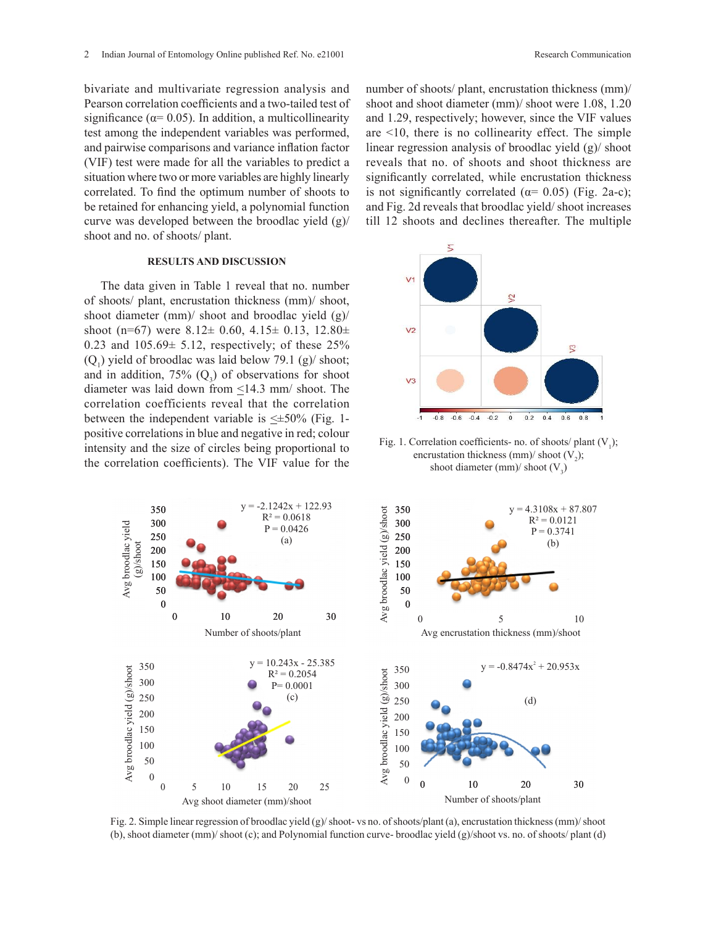bivariate and multivariate regression analysis and Pearson correlation coefficients and a two-tailed test of significance ( $\alpha$ = 0.05). In addition, a multicollinearity test among the independent variables was performed, and pairwise comparisons and variance inflation factor (VIF) test were made for all the variables to predict a situation where two or more variables are highly linearly correlated. To find the optimum number of shoots to be retained for enhancing yield, a polynomial function curve was developed between the broodlac yield (g)/ shoot and no. of shoots/ plant.

#### **RESULTS AND DISCUSSION**

The data given in Table 1 reveal that no. number of shoots/ plant, encrustation thickness (mm)/ shoot, shoot diameter (mm)/ shoot and broodlac yield (g)/ shoot (n=67) were  $8.12 \pm 0.60$ ,  $4.15 \pm 0.13$ ,  $12.80 \pm 0.13$ 0.23 and  $105.69 \pm 5.12$ , respectively; of these  $25\%$  $(Q<sub>1</sub>)$  yield of broodlac was laid below 79.1 (g)/ shoot; and in addition, 75%  $(Q_3)$  of observations for shoot diameter was laid down from  $\leq$ 14.3 mm/ shoot. The correlation coefficients reveal that the correlation between the independent variable is  $\leq \pm 50\%$  (Fig. 1positive correlations in blue and negative in red; colour intensity and the size of circles being proportional to the correlation coefficients). The VIF value for the

number of shoots/ plant, encrustation thickness (mm)/ shoot and shoot diameter (mm)/ shoot were 1.08, 1.20 and 1.29, respectively; however, since the VIF values are <10, there is no collinearity effect. The simple linear regression analysis of broodlac yield (g)/ shoot reveals that no. of shoots and shoot thickness are significantly correlated, while encrustation thickness is not significantly correlated ( $\alpha$ = 0.05) (Fig. 2a-c); and Fig. 2d reveals that broodlac yield/ shoot increases till 12 shoots and declines thereafter. The multiple



Fig. 1. Correlation coefficients- no. of shoots/ plant  $(V_1)$ ; encrustation thickness (mm)/ shoot  $(V_2)$ ; shoot diameter (mm)/ shoot  $(V_3)$ 



Fig. 2. Simple linear regression of broodlac yield (g)/ shoot- vs no. of shoots/plant (a), encrustation thickness (mm)/ shoot (b), shoot diameter (mm)/ shoot (c); and Polynomial function curve- broodlac yield (g)/shoot vs. no. of shoots/ plant (d)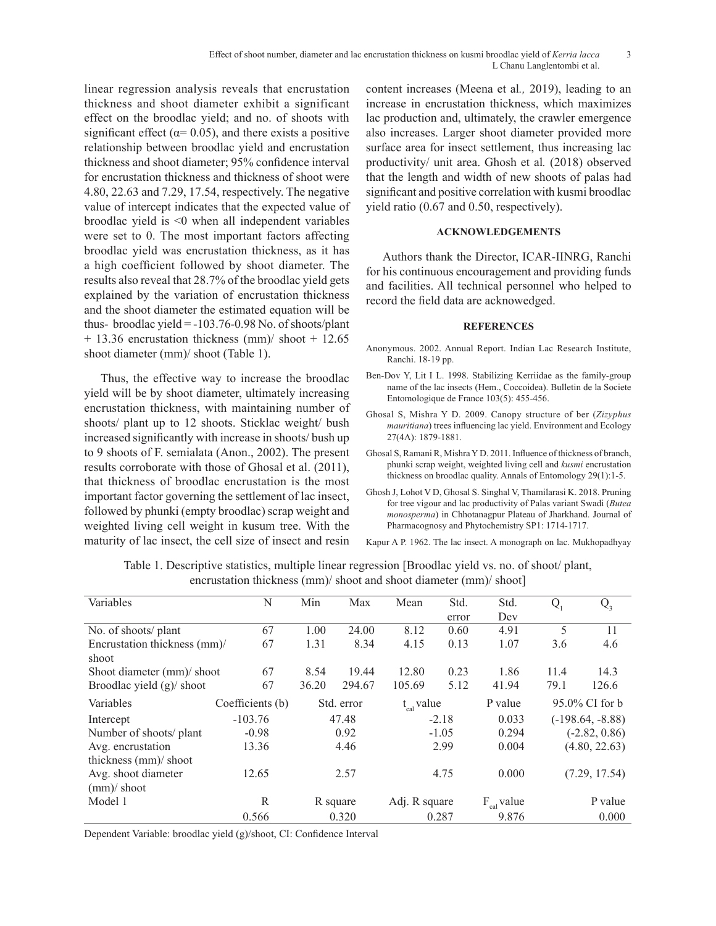linear regression analysis reveals that encrustation thickness and shoot diameter exhibit a significant effect on the broodlac yield; and no. of shoots with significant effect ( $\alpha$ = 0.05), and there exists a positive relationship between broodlac yield and encrustation thickness and shoot diameter; 95% confidence interval for encrustation thickness and thickness of shoot were 4.80, 22.63 and 7.29, 17.54, respectively. The negative value of intercept indicates that the expected value of broodlac yield is <0 when all independent variables were set to 0. The most important factors affecting broodlac yield was encrustation thickness, as it has a high coefficient followed by shoot diameter. The results also reveal that 28.7% of the broodlac yield gets explained by the variation of encrustation thickness and the shoot diameter the estimated equation will be thus- broodlac yield  $= -103.76 - 0.98$  No. of shoots/plant + 13.36 encrustation thickness (mm)/ shoot + 12.65 shoot diameter (mm)/ shoot (Table 1).

Thus, the effective way to increase the broodlac yield will be by shoot diameter, ultimately increasing encrustation thickness, with maintaining number of shoots/ plant up to 12 shoots. Sticklac weight/ bush increased significantly with increase in shoots/ bush up to 9 shoots of F. semialata (Anon., 2002). The present results corroborate with those of Ghosal et al. (2011), that thickness of broodlac encrustation is the most important factor governing the settlement of lac insect, followed by phunki (empty broodlac) scrap weight and weighted living cell weight in kusum tree. With the maturity of lac insect, the cell size of insect and resin content increases (Meena et al*.,* 2019), leading to an increase in encrustation thickness, which maximizes lac production and, ultimately, the crawler emergence also increases. Larger shoot diameter provided more surface area for insect settlement, thus increasing lac productivity/ unit area. Ghosh et al*.* (2018) observed that the length and width of new shoots of palas had significant and positive correlation with kusmi broodlac yield ratio (0.67 and 0.50, respectively).

# **ACKNOWLEDGEMENTS**

Authors thank the Director, ICAR-IINRG, Ranchi for his continuous encouragement and providing funds and facilities. All technical personnel who helped to record the field data are acknowedged.

#### **REFERENCES**

- Anonymous. 2002. Annual Report. Indian Lac Research Institute, Ranchi. 18-19 pp.
- Ben-Dov Y, Lit I L. 1998. Stabilizing Kerriidae as the family-group name of the lac insects (Hem., Coccoidea). Bulletin de la Societe Entomologique de France 103(5): 455-456.
- Ghosal S, Mishra Y D. 2009. Canopy structure of ber (*Zizyphus mauritiana*) trees influencing lac yield. Environment and Ecology 27(4A): 1879-1881.
- Ghosal S, Ramani R, Mishra Y D. 2011. Influence of thickness of branch, phunki scrap weight, weighted living cell and *kusmi* encrustation thickness on broodlac quality. Annals of Entomology 29(1):1-5.
- Ghosh J, Lohot V D, Ghosal S. Singhal V, Thamilarasi K. 2018. Pruning for tree vigour and lac productivity of Palas variant Swadi (*Butea monosperma*) in Chhotanagpur Plateau of Jharkhand. Journal of Pharmacognosy and Phytochemistry SP1: 1714-1717.

Kapur A P. 1962. The lac insect. A monograph on lac. Mukhopadhyay

| Variables                        | N                | Min        | Max    | Mean            | Std.  | Std.            | $Q_{1}$            | $Q_3$         |
|----------------------------------|------------------|------------|--------|-----------------|-------|-----------------|--------------------|---------------|
|                                  |                  |            |        |                 | error | Dev             |                    |               |
| No. of shoots/ plant             | 67               | 1.00       | 24.00  | 8.12            | 0.60  | 4.91            | 5                  | 11            |
| Encrustation thickness (mm)/     | 67               | 1.31       | 8.34   | 4.15            | 0.13  | 1.07            | 3.6                | 4.6           |
| shoot                            |                  |            |        |                 |       |                 |                    |               |
| Shoot diameter (mm)/ shoot       | 67               | 8.54       | 19.44  | 12.80           | 0.23  | 1.86            | 11.4               | 14.3          |
| Broodlac yield $(g)$ shoot       | 67               | 36.20      | 294.67 | 105.69          | 5.12  | 41.94           | 79.1               | 126.6         |
| Variables                        | Coefficients (b) | Std. error |        | $t_{cal}$ value |       | P value         | 95.0% CI for b     |               |
| Intercept                        | $-103.76$        | 47.48      |        | $-2.18$         |       | 0.033           | $(-198.64, -8.88)$ |               |
| Number of shoots/ plant          | $-0.98$          | 0.92       |        | $-1.05$         |       | 0.294           | $(-2.82, 0.86)$    |               |
| Avg. encrustation<br>13.36       |                  | 4.46       |        | 2.99            |       | 0.004           | (4.80, 22.63)      |               |
| thickness (mm)/ shoot            |                  |            |        |                 |       |                 |                    |               |
| Avg. shoot diameter              | 12.65            | 2.57       |        | 4.75            |       | 0.000           |                    | (7.29, 17.54) |
| $\frac{\text{mm}}{\text{shoot}}$ |                  |            |        |                 |       |                 |                    |               |
| Model 1                          | R                | R square   |        | Adj. R square   |       | $F_{cal}$ value |                    | P value       |
|                                  | 0.566            |            | 0.320  |                 | 0.287 | 9.876           |                    | 0.000         |

Table 1. Descriptive statistics, multiple linear regression [Broodlac yield vs. no. of shoot/ plant, encrustation thickness (mm)/ shoot and shoot diameter (mm)/ shoot]

Dependent Variable: broodlac yield (g)/shoot, CI: Confidence Interval